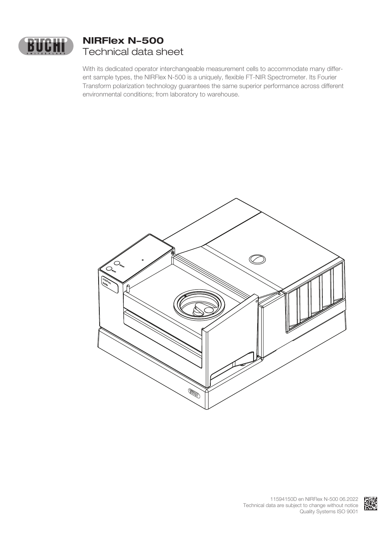

# **NIRFlex N-500** Technical data sheet

With its dedicated operator interchangeable measurement cells to accommodate many different sample types, the NIRFlex N-500 is a uniquely, flexible FT-NIR Spectrometer. Its Fourier Transform polarization technology guarantees the same superior performance across different environmental conditions; from laboratory to warehouse.



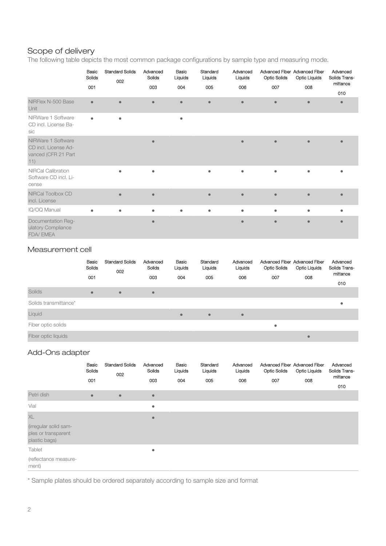## Scope of delivery

The following table depicts the most common package configurations by sample type and measuring mode.

|                                                                          | Basic<br>Solids<br>001 | <b>Standard Solids</b><br>002 | Advanced<br>Solids<br>003 | Basic<br>Liquids<br>004 | Standard<br>Liquids<br>005 | Advanced<br>Liquids<br>006 | Advanced Fiber Advanced Fiber<br><b>Optic Solids</b><br>007 | <b>Optic Liquids</b><br>008 | Advanced<br>Solids Trans-<br>mittance<br>010 |
|--------------------------------------------------------------------------|------------------------|-------------------------------|---------------------------|-------------------------|----------------------------|----------------------------|-------------------------------------------------------------|-----------------------------|----------------------------------------------|
| NIRFlex N-500 Base<br>Unit                                               | $\bullet$              | $\bullet$                     | $\bullet$                 | $\bullet$               | $\bullet$                  | $\bullet$                  | $\bullet$                                                   | $\bullet$                   | $\bullet$                                    |
| NIRWare 1 Software<br>CD incl. License Ba-<br>sic                        | $\bullet$              | $\bullet$                     |                           | $\bullet$               |                            |                            |                                                             |                             |                                              |
| NIRWare 1 Software<br>CD incl. License Ad-<br>vanced (CFR 21 Part<br>11) |                        |                               | $\bullet$                 |                         |                            | $\bullet$                  | $\bullet$                                                   | $\bullet$                   | e                                            |
| <b>NIRCal Calibration</b><br>Software CD incl. Li-<br>cense              |                        |                               | $\bullet$                 |                         | ۰                          | ٠                          | ٠                                                           | ۰                           |                                              |
| NIRCal Toolbox CD<br>incl. License                                       |                        | $\bullet$                     | $\bullet$                 |                         | $\bullet$                  | $\bullet$                  | $\bullet$                                                   | $\bullet$                   |                                              |
| IQ/OQ Manual                                                             | $\bullet$              | $\bullet$                     | $\bullet$                 | $\bullet$               | ۰                          | $\bullet$                  | ۰                                                           | $\bullet$                   | ٠                                            |
| Documentation Reg-<br>ulatory Compliance<br>FDA/EMEA                     |                        |                               | $\bullet$                 |                         |                            | $\bullet$                  | $\bullet$                                                   | $\bullet$                   |                                              |

#### Measurement cell

|                       | Basic<br>Solids | <b>Standard Solids</b><br>002 | Advanced<br>Solids | Basic<br>Liquids | Standard<br>Liquids | Advanced<br>Liquids | Advanced Fiber Advanced Fiber<br><b>Optic Solids</b> | <b>Optic Liquids</b> | Advanced<br>Solids Trans-<br>mittance |
|-----------------------|-----------------|-------------------------------|--------------------|------------------|---------------------|---------------------|------------------------------------------------------|----------------------|---------------------------------------|
|                       | 001             |                               | 003                | 004              | 005                 | 006                 | 007                                                  | 008                  | 010                                   |
| <b>Solids</b>         | $\bullet$       | $\bullet$                     | $\bullet$          |                  |                     |                     |                                                      |                      |                                       |
| Solids transmittance* |                 |                               |                    |                  |                     |                     |                                                      |                      | ٠                                     |
| Liquid                |                 |                               |                    | $\bullet$        | $\bullet$           | $\bullet$           |                                                      |                      |                                       |
| Fiber optic solids    |                 |                               |                    |                  |                     |                     | ٠                                                    |                      |                                       |
| Fiber optic liquids   |                 |                               |                    |                  |                     |                     |                                                      | $\bullet$            |                                       |

#### Add-Ons adapter

|                                                               | Basic<br>Solids<br>001 | <b>Standard Solids</b><br>002 | Advanced<br>Solids<br>003 | Basic<br>Liquids<br>004 | Standard<br>Liquids<br>005 | Advanced<br>Liquids<br>006 | <b>Optic Solids</b><br>007 | Advanced Fiber Advanced Fiber<br><b>Optic Liquids</b><br>008 | Advanced<br>Solids Trans-<br>mittance<br>010 |
|---------------------------------------------------------------|------------------------|-------------------------------|---------------------------|-------------------------|----------------------------|----------------------------|----------------------------|--------------------------------------------------------------|----------------------------------------------|
| Petri dish                                                    | $\bullet$              | $\bullet$                     | $\bullet$                 |                         |                            |                            |                            |                                                              |                                              |
| Vial                                                          |                        |                               | $\bullet$                 |                         |                            |                            |                            |                                                              |                                              |
| XL                                                            |                        |                               | $\bullet$                 |                         |                            |                            |                            |                                                              |                                              |
| (irregular solid sam-<br>ples or transparent<br>plastic bags) |                        |                               |                           |                         |                            |                            |                            |                                                              |                                              |
| Tablet                                                        |                        |                               | $\bullet$                 |                         |                            |                            |                            |                                                              |                                              |
| (reflectance measure-<br>ment)                                |                        |                               |                           |                         |                            |                            |                            |                                                              |                                              |

\* Sample plates should be ordered separately according to sample size and format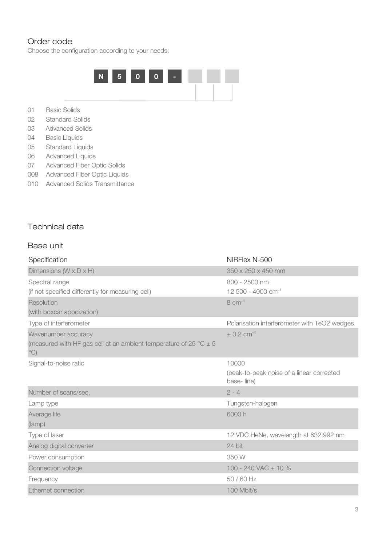#### Order code

Choose the configuration according to your needs:



- 01 Basic Solids
- 02 Standard Solids
- 03 Advanced Solids
- 04 Basic Liquids
- 05 Standard Liquids
- 06 Advanced Liquids
- 07 Advanced Fiber Optic Solids
- 008 Advanced Fiber Optic Liquids
- 010 Advanced Solids Transmittance

#### Technical data

#### Base unit

| Specification                                                                                                           | NIRFlex N-500                                                    |
|-------------------------------------------------------------------------------------------------------------------------|------------------------------------------------------------------|
| Dimensions ( $W \times D \times H$ )                                                                                    | 350 x 250 x 450 mm                                               |
| Spectral range<br>(if not specified differently for measuring cell)                                                     | 800 - 2500 nm<br>12 500 - 4000 cm <sup>-1</sup>                  |
| Resolution<br>(with boxcar apodization)                                                                                 | $8 \text{ cm}^{-1}$                                              |
| Type of interferometer                                                                                                  | Polarisation interferometer with TeO2 wedges                     |
| Wavenumber accuracy<br>(measured with HF gas cell at an ambient temperature of 25 $^{\circ}$ C $\pm$ 5<br>$^{\circ}$ C) | $\pm$ 0.2 cm <sup>-1</sup>                                       |
| Signal-to-noise ratio                                                                                                   | 10000<br>(peak-to-peak noise of a linear corrected<br>base-line) |
| Number of scans/sec.                                                                                                    | $2 - 4$                                                          |
| Lamp type                                                                                                               | Tungsten-halogen                                                 |
| Average life<br>(lamp)                                                                                                  | 6000 h                                                           |
| Type of laser                                                                                                           | 12 VDC HeNe, wavelength at 632.992 nm                            |
| Analog digital converter                                                                                                | 24 bit                                                           |
| Power consumption                                                                                                       | 350 W                                                            |
| Connection voltage                                                                                                      | 100 - 240 VAC ± 10 %                                             |
| Frequency                                                                                                               | 50 / 60 Hz                                                       |
| Ethernet connection                                                                                                     | 100 Mbit/s                                                       |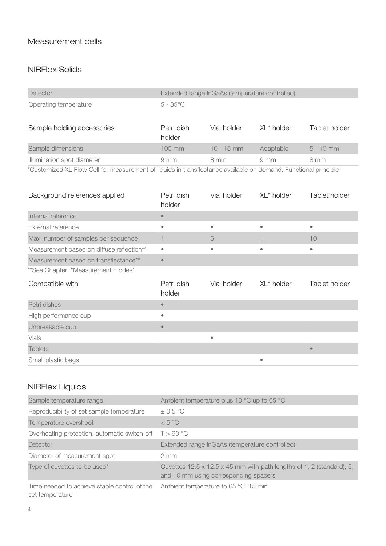## Measurement cells

## NIRFlex Solids

| Detector              | <b>Extended range InGaAs (temperature controlled)</b> |
|-----------------------|-------------------------------------------------------|
| Operating temperature | 5 - 35°C                                              |

| Sample holding accessories                                                                                          | Petri dish<br>holder | Vial holder  | $XI * holder$  | Tablet holder |
|---------------------------------------------------------------------------------------------------------------------|----------------------|--------------|----------------|---------------|
| Sample dimensions                                                                                                   | $100$ mm             | $10 - 15$ mm | Adaptable      | $5 - 10$ mm   |
| Illumination spot diameter                                                                                          | $9 \text{ mm}$       | 8 mm         | $9 \text{ mm}$ | 8 mm          |
| .¥∧ shoot on VI EBS . A shift . so so so so shortly the temperature sees . State of shoots at Esperant state to the |                      |              |                |               |

\*Customized XL Flow Cell for measurement of liquids in transflectance available on demand. Functional principle

| Background references applied             | Petri dish<br>holder | Vial holder | XL* holder | Tablet holder |
|-------------------------------------------|----------------------|-------------|------------|---------------|
| Internal reference                        | $\bullet$            |             |            |               |
| External reference                        | ۰                    | $\bullet$   | $\bullet$  | ۰             |
| Max. number of samples per sequence       |                      | 6           |            | 10            |
| Measurement based on diffuse reflection** | $\bullet$            | ۰           |            |               |
| Measurement based on transflectance**     | $\bullet$            |             |            |               |
| ** See Chapter "Measurement modes"        |                      |             |            |               |
| Compatible with                           | Petri dish<br>holder | Vial holder | XL* holder | Tablet holder |
| Petri dishes                              | $\bullet$            |             |            |               |
| High performance cup                      | $\bullet$            |             |            |               |
| Unbreakable cup                           | $\bullet$            |             |            |               |
| Vials                                     |                      | $\bullet$   |            |               |
| <b>Tablets</b>                            |                      |             |            | $\bullet$     |
| Small plastic bags                        |                      |             | ۰          |               |

## NIRFlex Liquids

| Sample temperature range                                        | Ambient temperature plus 10 °C up to 65 °C                                                                     |
|-----------------------------------------------------------------|----------------------------------------------------------------------------------------------------------------|
| Reproducibility of set sample temperature                       | $\pm$ 0.5 °C                                                                                                   |
| Temperature overshoot                                           | < 5 °C                                                                                                         |
| Overheating protection, automatic switch-off                    | T > 90 °C                                                                                                      |
| Detector                                                        | Extended range InGaAs (temperature controlled)                                                                 |
| Diameter of measurement spot                                    | $2 \, \text{mm}$                                                                                               |
| Type of cuvettes to be used*                                    | Cuvettes 12.5 x 12.5 x 45 mm with path lengths of 1, 2 (standard), 5,<br>and 10 mm using corresponding spacers |
| Time needed to achieve stable control of the<br>set temperature | Ambient temperature to 65 °C: 15 min                                                                           |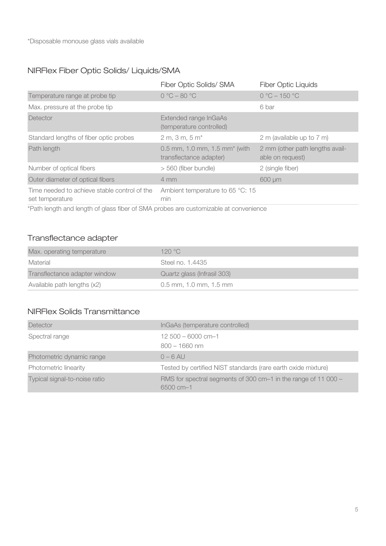## NIRFlex Fiber Optic Solids/ Liquids/SMA

| Fiber Optic Solids/ SMA                                  | <b>Fiber Optic Liquids</b>                                                                         |
|----------------------------------------------------------|----------------------------------------------------------------------------------------------------|
| $0 °C - 80 °C$                                           | $0 °C - 150 °C$                                                                                    |
|                                                          | 6 bar                                                                                              |
| Extended range InGaAs<br>(temperature controlled)        |                                                                                                    |
| $2 m, 3 m, 5 m*$                                         | 2 m (available up to 7 m)                                                                          |
| 0.5 mm, 1.0 mm, 1.5 mm* (with<br>transflectance adapter) | 2 mm (other path lengths avail-<br>able on request)                                                |
| > 560 (fiber bundle)                                     | 2 (single fiber)                                                                                   |
| $4 \, \text{mm}$                                         | 600 µm                                                                                             |
| Ambient temperature to 65 °C: 15<br>min                  |                                                                                                    |
|                                                          | *Datta languita ang languita af alaga filangaf OMAA ngustaga ang ang tanggalalala at agan ng langu |

\*Path length and length of glass fiber of SMA probes are customizable at convenience

## Transflectance adapter

| Max. operating temperature    | 120 $^{\circ}$ C            |
|-------------------------------|-----------------------------|
| Material                      | Steel no. 1.4435            |
| Transflectance adapter window | Quartz glass (Infrasil 303) |
| Available path lengths (x2)   | $0.5$ mm, 1.0 mm, 1.5 mm    |

## NIRFlex Solids Transmittance

| Detector                      | InGaAs (temperature controlled)                                             |
|-------------------------------|-----------------------------------------------------------------------------|
| Spectral range                | $12,500 - 6000$ cm-1<br>$800 - 1660$ nm                                     |
| Photometric dynamic range     | $0 - 6$ AU                                                                  |
| Photometric linearity         | Tested by certified NIST standards (rare earth oxide mixture)               |
| Typical signal-to-noise ratio | RMS for spectral segments of 300 cm-1 in the range of 11 000 -<br>6500 cm-1 |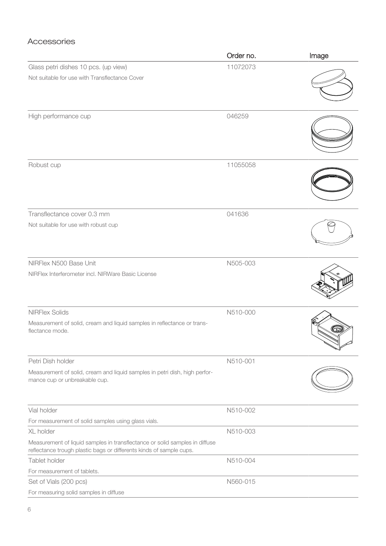### Accessories

|                                                                                                                                                    | Order no. | Image |
|----------------------------------------------------------------------------------------------------------------------------------------------------|-----------|-------|
| Glass petri dishes 10 pcs. (up view)                                                                                                               | 11072073  |       |
| Not suitable for use with Transflectance Cover                                                                                                     |           |       |
| High performance cup                                                                                                                               | 046259    |       |
| Robust cup                                                                                                                                         | 11055058  |       |
| Transflectance cover 0.3 mm                                                                                                                        | 041636    |       |
| Not suitable for use with robust cup                                                                                                               |           |       |
| NIRFlex N500 Base Unit                                                                                                                             | N505-003  |       |
| NIRFlex Interferometer incl. NIRWare Basic License                                                                                                 |           |       |
| <b>NIRFlex Solids</b>                                                                                                                              | N510-000  |       |
| Measurement of solid, cream and liquid samples in reflectance or trans-<br>flectance mode.                                                         |           |       |
| Petri Dish holder                                                                                                                                  | N510-001  |       |
| Measurement of solid, cream and liquid samples in petri dish, high perfor-<br>mance cup or unbreakable cup.                                        |           |       |
| Vial holder                                                                                                                                        | N510-002  |       |
| For measurement of solid samples using glass vials.                                                                                                |           |       |
| XL holder                                                                                                                                          | N510-003  |       |
| Measurement of liquid samples in transflectance or solid samples in diffuse<br>reflectance trough plastic bags or differents kinds of sample cups. |           |       |
| Tablet holder                                                                                                                                      | N510-004  |       |
| For measurement of tablets.                                                                                                                        |           |       |
| Set of Vials (200 pcs)                                                                                                                             | N560-015  |       |
| For measuring solid samples in diffuse                                                                                                             |           |       |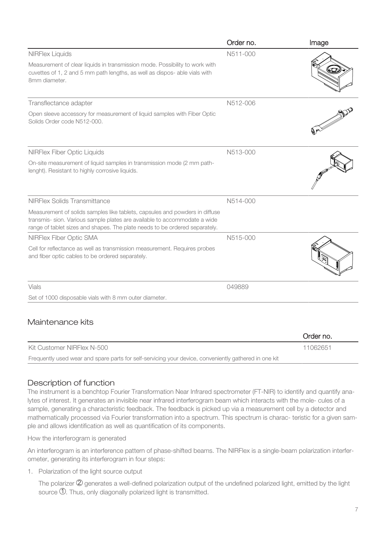|                                                                                                                                                                                                                                         | Order no. | Image |
|-----------------------------------------------------------------------------------------------------------------------------------------------------------------------------------------------------------------------------------------|-----------|-------|
| <b>NIRFlex Liquids</b>                                                                                                                                                                                                                  | N511-000  |       |
| Measurement of clear liquids in transmission mode. Possibility to work with<br>cuvettes of 1, 2 and 5 mm path lengths, as well as dispos- able vials with<br>8mm diameter.                                                              |           |       |
| Transflectance adapter                                                                                                                                                                                                                  | N512-006  |       |
| Open sleeve accessory for measurement of liquid samples with Fiber Optic<br>Solids Order code N512-000.                                                                                                                                 |           |       |
| <b>NIRFlex Fiber Optic Liquids</b>                                                                                                                                                                                                      | N513-000  |       |
| On-site measurement of liquid samples in transmission mode (2 mm path-<br>lenght). Resistant to highly corrosive liquids.                                                                                                               |           |       |
| NIRFlex Solids Transmittance                                                                                                                                                                                                            | N514-000  |       |
| Measurement of solids samples like tablets, capsules and powders in diffuse<br>transmis- sion. Various sample plates are available to accommodate a wide<br>range of tablet sizes and shapes. The plate needs to be ordered separately. |           |       |
| NIRFlex Fiber Optic SMA                                                                                                                                                                                                                 | N515-000  |       |
| Cell for reflectance as well as transmission measurement. Requires probes<br>and fiber optic cables to be ordered separately.                                                                                                           |           |       |
| Vials                                                                                                                                                                                                                                   | 049889    |       |
| Set of 1000 disposable vials with 8 mm outer diameter.                                                                                                                                                                                  |           |       |

|                                                                                                       | Order no. |
|-------------------------------------------------------------------------------------------------------|-----------|
| Kit Customer NIRFlex N-500                                                                            | 11062651  |
| Frequently used wear and spare parts for self-servicing your device, conveniently gathered in one kit |           |

## Description of function

The instrument is a benchtop Fourier Transformation Near Infrared spectrometer (FT-NIR) to identify and quantify analytes of interest. It generates an invisible near infrared interferogram beam which interacts with the mole- cules of a sample, generating a characteristic feedback. The feedback is picked up via a measurement cell by a detector and mathematically processed via Fourier transformation into a spectrum. This spectrum is charac- teristic for a given sample and allows identification as well as quantification of its components.

How the interferogram is generated

An interferogram is an interference pattern of phase-shifted beams. The NIRFlex is a single-beam polarization interferometer, generating its interferogram in four steps:

1. Polarization of the light source output

The polarizer  $\mathcal Q$  generates a well-defined polarization output of the undefined polarized light, emitted by the light source 1 . Thus, only diagonally polarized light is transmitted.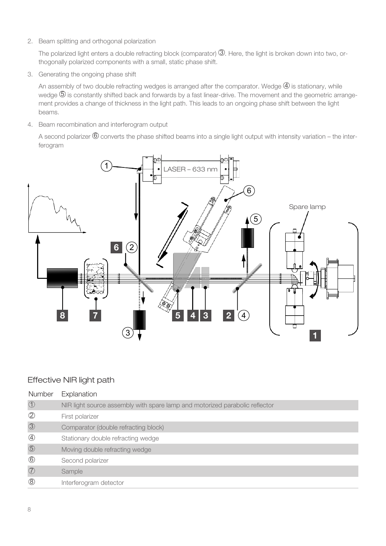2. Beam splitting and orthogonal polarization

The polarized light enters a double refracting block (comparator)  $\mathbb G$ . Here, the light is broken down into two, orthogonally polarized components with a small, static phase shift.

3. Generating the ongoing phase shift

An assembly of two double refracting wedges is arranged after the comparator. Wedge  $\Phi$  is stationary, while wedge  $\mathfrak G$  is constantly shifted back and forwards by a fast linear-drive. The movement and the geometric arrangement provides a change of thickness in the light path. This leads to an ongoing phase shift between the light beams.

4. Beam recombination and interferogram output

A second polarizer  $\textcircled{\small{6}}$  converts the phase shifted beams into a single light output with intensity variation – the interferogram



### Effective NIR light path

| Number         | Explanation                                                                 |
|----------------|-----------------------------------------------------------------------------|
| $\bigcirc$     | NIR light source assembly with spare lamp and motorized parabolic reflector |
| $\circled{2}$  | First polarizer                                                             |
| $\circled{3}$  | Comparator (double refracting block)                                        |
| $\bigcirc$     | Stationary double refracting wedge                                          |
| $\circledS$    | Moving double refracting wedge                                              |
| $\circledcirc$ | Second polarizer                                                            |
| $\circled{7}$  | Sample                                                                      |
| $\circledS$    | Interferogram detector                                                      |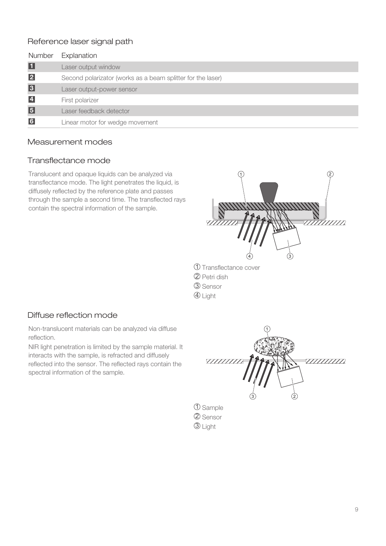### Reference laser signal path

| Number          | Explanation                                                 |
|-----------------|-------------------------------------------------------------|
| П               | Laser output window                                         |
| $\vert$ 2       | Second polarizator (works as a beam splitter for the laser) |
| $\sqrt{3}$      | Laser output-power sensor                                   |
| $\overline{4}$  | First polarizer                                             |
| $\vert 5 \vert$ | Laser feedback detector                                     |
| $6\phantom{a}$  | Linear motor for wedge movement                             |

#### Measurement modes

### Transflectance mode

Translucent and opaque liquids can be analyzed via transflectance mode. The light penetrates the liquid, is diffusely reflected by the reference plate and passes through the sample a second time. The transflected rays contain the spectral information of the sample.



- ${\mathfrak{D}}$  Transflectance cover
- $\mathfrak D$  Petri dish
- 3 Sensor
- 4 Light

### Diffuse reflection mode

Non-translucent materials can be analyzed via diffuse reflection.

NIR light penetration is limited by the sample material. It interacts with the sample, is refracted and diffusely reflected into the sensor. The reflected rays contain the spectral information of the sample.



2 Sensor  $\mathfrak{D}% _{T}=\mathfrak{D}_{T}\!\left( a,b\right) ,\ \mathfrak{D}_{T}=C_{T}\!\left( a,b\right) ,$  Light